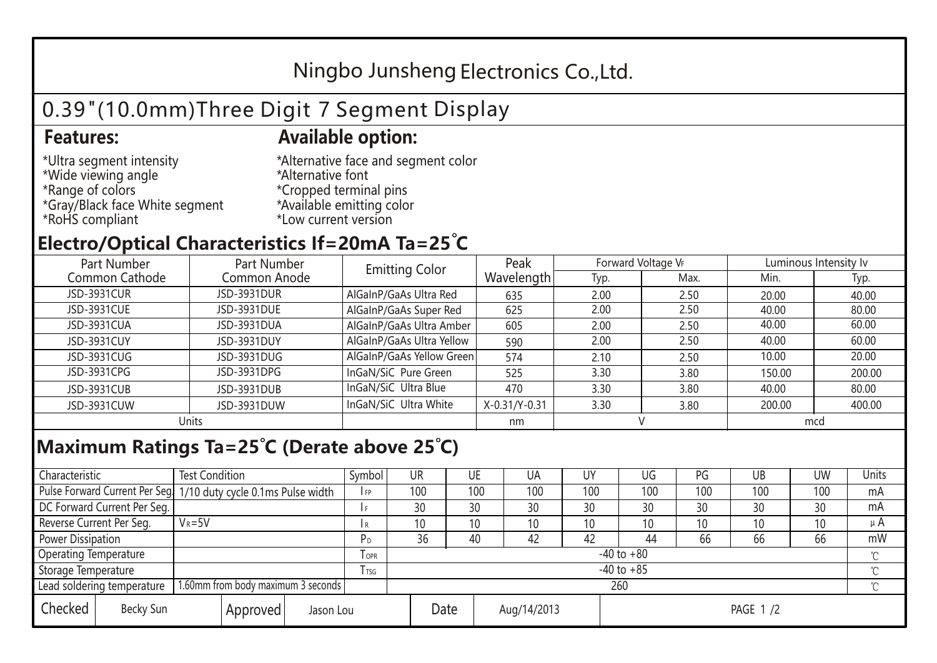## Ningbo Junsheng Electronics Co.,Ltd.

# 0.39"(10.0mm)Three Digit 7 Segment Display

### **Features: Available option:**

- \*Ultra segment intensity \*Wide viewing angle \*Range of colors \*Gray/Black face White segment \*RoHS compliant
- \*Alternative face and segment color \*Alternative font \*Cropped terminal pins \*Available emitting color \*Low current version

### **Electro/Optical Characteristics If=20mA Ta=25 C**

| Part Number<br>Part Number |              | <b>Emitting Color</b>     | Peak          | Forward Voltage VF |      | Luminous Intensity Iv |        |  |
|----------------------------|--------------|---------------------------|---------------|--------------------|------|-----------------------|--------|--|
| Common Cathode             | Common Anode |                           | Wavelength    | Typ.               | Max. | Min.                  | Typ.   |  |
| JSD-3931CUR                | JSD-3931DUR  | AlGaInP/GaAs Ultra Red    | 635           | 2.00               | 2.50 | 20.00                 | 40.00  |  |
| JSD-3931CUE                | JSD-3931DUE  | AlGaInP/GaAs Super Red    | 625           | 2.00               | 2.50 | 40.00                 | 80.00  |  |
| JSD-3931CUA                | JSD-3931DUA  | AlGaInP/GaAs Ultra Amber  | 605           | 2.00               | 2.50 | 40.00                 | 60.00  |  |
| JSD-3931CUY                | JSD-3931DUY  | AlGaInP/GaAs Ultra Yellow | 590           | 2.00               | 2.50 | 40.00                 | 60.00  |  |
| JSD-3931CUG                | JSD-3931DUG  | AlGaInP/GaAs Yellow Green | 574           | 2.10               | 2.50 | 10.00                 | 20.00  |  |
| JSD-3931CPG                | JSD-3931DPG  | InGaN/SiC Pure Green      | 525           | 3.30               | 3.80 | 150.00                | 200.00 |  |
| JSD-3931CUB                | JSD-3931DUB  | InGaN/SiC Ultra Blue      | 470           | 3.30               | 3.80 | 40.00                 | 80.00  |  |
| JSD-3931CUW                | JSD-3931DUW  | InGaN/SiC Ultra White     | X-0.31/Y-0.31 | 3.30               | 3.80 | 200.00                | 400.00 |  |
| Units                      |              |                           | nm            |                    |      | mcd                   |        |  |

### **Maximum Ratings Ta=25°C (Derate above 25°C)**

| Characteristic                                                   |                             | <b>Test Condition</b>                                            |            |                | Symbol          | UR                  |    | UE  | UA  | UY              | UG  | PG  | UB              | <b>UW</b> | <b>Units</b> |
|------------------------------------------------------------------|-----------------------------|------------------------------------------------------------------|------------|----------------|-----------------|---------------------|----|-----|-----|-----------------|-----|-----|-----------------|-----------|--------------|
|                                                                  |                             | Pulse Forward Current Per Seg. 1/10 duty cycle 0.1ms Pulse width |            |                | I FP            | 100                 |    | 100 | 100 | 100             | 100 | 100 | 100             | 100       | mA           |
|                                                                  | DC Forward Current Per Seg. |                                                                  |            |                |                 | 30                  |    | 30  | 30  | 30              | 30  | 30  | 30              | 30        | mA           |
| Reverse Current Per Seg.                                         |                             | $V_R = 5V$                                                       |            |                | l R             | 10                  |    | 10  | 10  | 10              | 10  | 10  | 10 <sup>°</sup> | 10        | μ $A$        |
| Power Dissipation                                                |                             |                                                                  | РD         | 36             |                 | 40                  | 42 | 42  | 44  | 66              | 66  | 66  | mW              |           |              |
| <b>Operating Temperature</b>                                     |                             |                                                                  | <b>OPR</b> | $-40$ to $+80$ |                 |                     |    |     |     |                 |     |     | $\sim$          |           |              |
| Storage Temperature                                              |                             |                                                                  | l tsg      | $-40$ to $+85$ |                 |                     |    |     |     |                 |     |     | $\gamma$        |           |              |
| 1.60mm from body maximum 3 seconds<br>Lead soldering temperature |                             |                                                                  |            |                | 260<br>$\gamma$ |                     |    |     |     |                 |     |     |                 |           |              |
| Checked                                                          | Becky Sun                   | Approved<br>Jason Lou                                            |            |                |                 | Date<br>Aug/14/2013 |    |     |     | <b>PAGE 1/2</b> |     |     |                 |           |              |